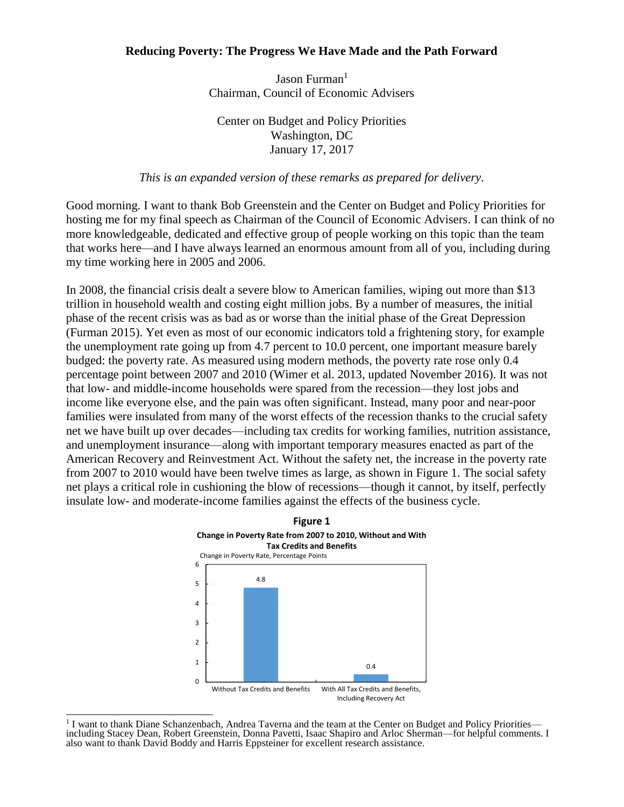### **Reducing Poverty: The Progress We Have Made and the Path Forward**

Jason Furman $<sup>1</sup>$ </sup> Chairman, Council of Economic Advisers

Center on Budget and Policy Priorities Washington, DC January 17, 2017

#### *This is an expanded version of these remarks as prepared for delivery.*

Good morning. I want to thank Bob Greenstein and the Center on Budget and Policy Priorities for hosting me for my final speech as Chairman of the Council of Economic Advisers. I can think of no more knowledgeable, dedicated and effective group of people working on this topic than the team that works here—and I have always learned an enormous amount from all of you, including during my time working here in 2005 and 2006.

In 2008, the financial crisis dealt a severe blow to American families, wiping out more than \$13 trillion in household wealth and costing eight million jobs. By a number of measures, the initial phase of the recent crisis was as bad as or worse than the initial phase of the Great Depression (Furman 2015). Yet even as most of our economic indicators told a frightening story, for example the unemployment rate going up from 4.7 percent to 10.0 percent, one important measure barely budged: the poverty rate. As measured using modern methods, the poverty rate rose only 0.4 percentage point between 2007 and 2010 (Wimer et al. 2013, updated November 2016). It was not that low- and middle-income households were spared from the recession—they lost jobs and income like everyone else, and the pain was often significant. Instead, many poor and near-poor families were insulated from many of the worst effects of the recession thanks to the crucial safety net we have built up over decades—including tax credits for working families, nutrition assistance, and unemployment insurance—along with important temporary measures enacted as part of the American Recovery and Reinvestment Act. Without the safety net, the increase in the poverty rate from 2007 to 2010 would have been twelve times as large, as shown in Figure 1. The social safety net plays a critical role in cushioning the blow of recessions—though it cannot, by itself, perfectly insulate low- and moderate-income families against the effects of the business cycle.



<sup>&</sup>lt;sup>1</sup> I want to thank Diane Schanzenbach, Andrea Taverna and the team at the Center on Budget and Policy Priorities including Stacey Dean, Robert Greenstein, Donna Pavetti, Isaac Shapiro and Arloc Sherman—for helpful comments. I also want to thank David Boddy and Harris Eppsteiner for excellent research assistance.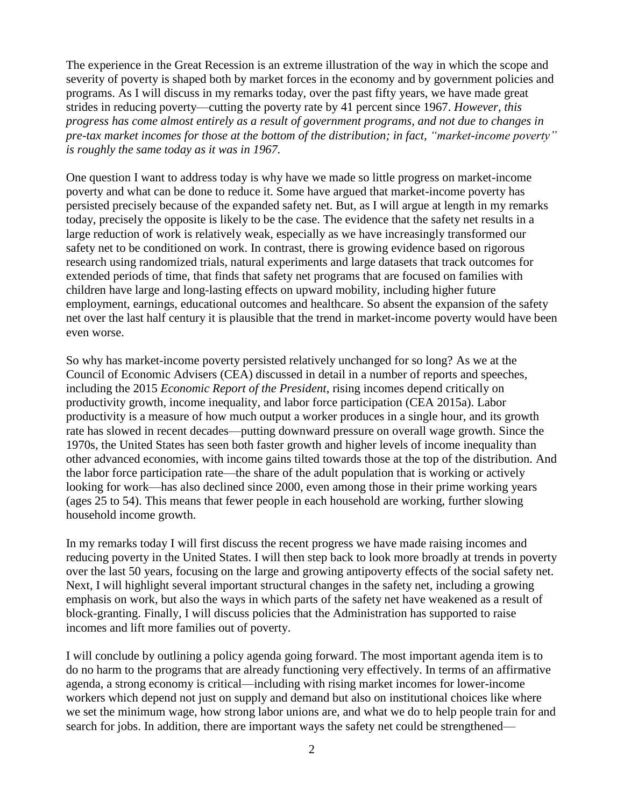The experience in the Great Recession is an extreme illustration of the way in which the scope and severity of poverty is shaped both by market forces in the economy and by government policies and programs. As I will discuss in my remarks today, over the past fifty years, we have made great strides in reducing poverty—cutting the poverty rate by 41 percent since 1967. *However, this progress has come almost entirely as a result of government programs, and not due to changes in pre-tax market incomes for those at the bottom of the distribution; in fact, "market-income poverty" is roughly the same today as it was in 1967.* 

One question I want to address today is why have we made so little progress on market-income poverty and what can be done to reduce it. Some have argued that market-income poverty has persisted precisely because of the expanded safety net. But, as I will argue at length in my remarks today, precisely the opposite is likely to be the case. The evidence that the safety net results in a large reduction of work is relatively weak, especially as we have increasingly transformed our safety net to be conditioned on work. In contrast, there is growing evidence based on rigorous research using randomized trials, natural experiments and large datasets that track outcomes for extended periods of time, that finds that safety net programs that are focused on families with children have large and long-lasting effects on upward mobility, including higher future employment, earnings, educational outcomes and healthcare. So absent the expansion of the safety net over the last half century it is plausible that the trend in market-income poverty would have been even worse.

So why has market-income poverty persisted relatively unchanged for so long? As we at the Council of Economic Advisers (CEA) discussed in detail in a number of reports and speeches, including the 2015 *Economic Report of the President*, rising incomes depend critically on productivity growth, income inequality, and labor force participation (CEA 2015a). Labor productivity is a measure of how much output a worker produces in a single hour, and its growth rate has slowed in recent decades—putting downward pressure on overall wage growth. Since the 1970s, the United States has seen both faster growth and higher levels of income inequality than other advanced economies, with income gains tilted towards those at the top of the distribution. And the labor force participation rate—the share of the adult population that is working or actively looking for work—has also declined since 2000, even among those in their prime working years (ages 25 to 54). This means that fewer people in each household are working, further slowing household income growth.

In my remarks today I will first discuss the recent progress we have made raising incomes and reducing poverty in the United States. I will then step back to look more broadly at trends in poverty over the last 50 years, focusing on the large and growing antipoverty effects of the social safety net. Next, I will highlight several important structural changes in the safety net, including a growing emphasis on work, but also the ways in which parts of the safety net have weakened as a result of block-granting. Finally, I will discuss policies that the Administration has supported to raise incomes and lift more families out of poverty.

I will conclude by outlining a policy agenda going forward. The most important agenda item is to do no harm to the programs that are already functioning very effectively. In terms of an affirmative agenda, a strong economy is critical—including with rising market incomes for lower-income workers which depend not just on supply and demand but also on institutional choices like where we set the minimum wage, how strong labor unions are, and what we do to help people train for and search for jobs. In addition, there are important ways the safety net could be strengthened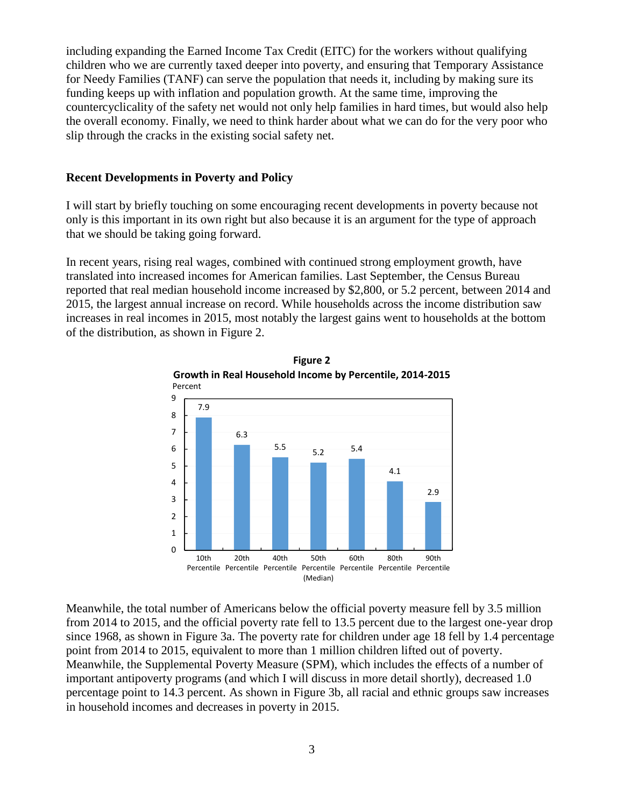including expanding the Earned Income Tax Credit (EITC) for the workers without qualifying children who we are currently taxed deeper into poverty, and ensuring that Temporary Assistance for Needy Families (TANF) can serve the population that needs it, including by making sure its funding keeps up with inflation and population growth. At the same time, improving the countercyclicality of the safety net would not only help families in hard times, but would also help the overall economy. Finally, we need to think harder about what we can do for the very poor who slip through the cracks in the existing social safety net.

#### **Recent Developments in Poverty and Policy**

I will start by briefly touching on some encouraging recent developments in poverty because not only is this important in its own right but also because it is an argument for the type of approach that we should be taking going forward.

In recent years, rising real wages, combined with continued strong employment growth, have translated into increased incomes for American families. Last September, the Census Bureau reported that real median household income increased by \$2,800, or 5.2 percent, between 2014 and 2015, the largest annual increase on record. While households across the income distribution saw increases in real incomes in 2015, most notably the largest gains went to households at the bottom of the distribution, as shown in Figure 2.



Meanwhile, the total number of Americans below the official poverty measure fell by 3.5 million from 2014 to 2015, and the official poverty rate fell to 13.5 percent due to the largest one-year drop since 1968, as shown in Figure 3a. The poverty rate for children under age 18 fell by 1.4 percentage point from 2014 to 2015, equivalent to more than 1 million children lifted out of poverty. Meanwhile, the Supplemental Poverty Measure (SPM), which includes the effects of a number of important antipoverty programs (and which I will discuss in more detail shortly), decreased 1.0 percentage point to 14.3 percent. As shown in Figure 3b, all racial and ethnic groups saw increases in household incomes and decreases in poverty in 2015.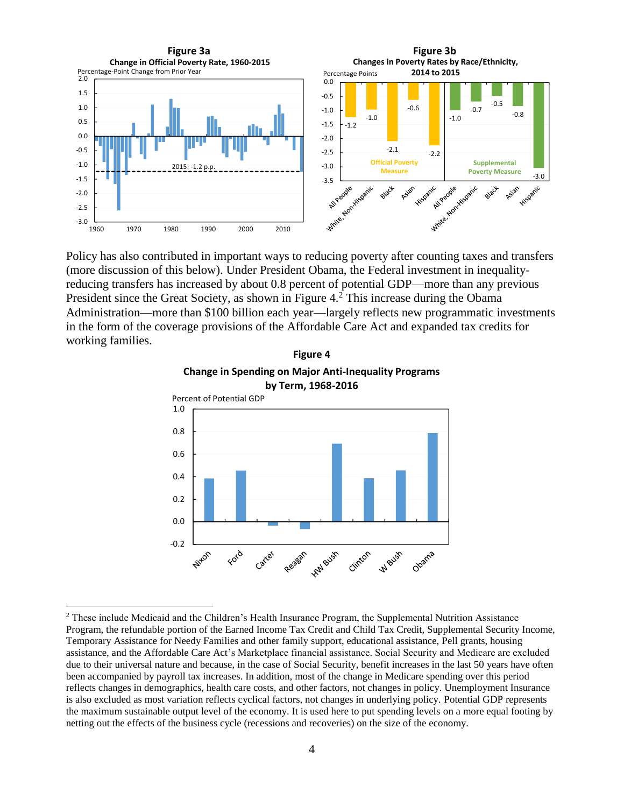

Policy has also contributed in important ways to reducing poverty after counting taxes and transfers (more discussion of this below). Under President Obama, the Federal investment in inequalityreducing transfers has increased by about 0.8 percent of potential GDP—more than any previous President since the Great Society, as shown in Figure 4.<sup>2</sup> This increase during the Obama Administration—more than \$100 billion each year—largely reflects new programmatic investments in the form of the coverage provisions of the Affordable Care Act and expanded tax credits for working families.





<sup>&</sup>lt;sup>2</sup> These include Medicaid and the Children's Health Insurance Program, the Supplemental Nutrition Assistance Program, the refundable portion of the Earned Income Tax Credit and Child Tax Credit, Supplemental Security Income, Temporary Assistance for Needy Families and other family support, educational assistance, Pell grants, housing assistance, and the Affordable Care Act's Marketplace financial assistance. Social Security and Medicare are excluded due to their universal nature and because, in the case of Social Security, benefit increases in the last 50 years have often been accompanied by payroll tax increases. In addition, most of the change in Medicare spending over this period reflects changes in demographics, health care costs, and other factors, not changes in policy. Unemployment Insurance is also excluded as most variation reflects cyclical factors, not changes in underlying policy. Potential GDP represents the maximum sustainable output level of the economy. It is used here to put spending levels on a more equal footing by netting out the effects of the business cycle (recessions and recoveries) on the size of the economy.

 $\overline{a}$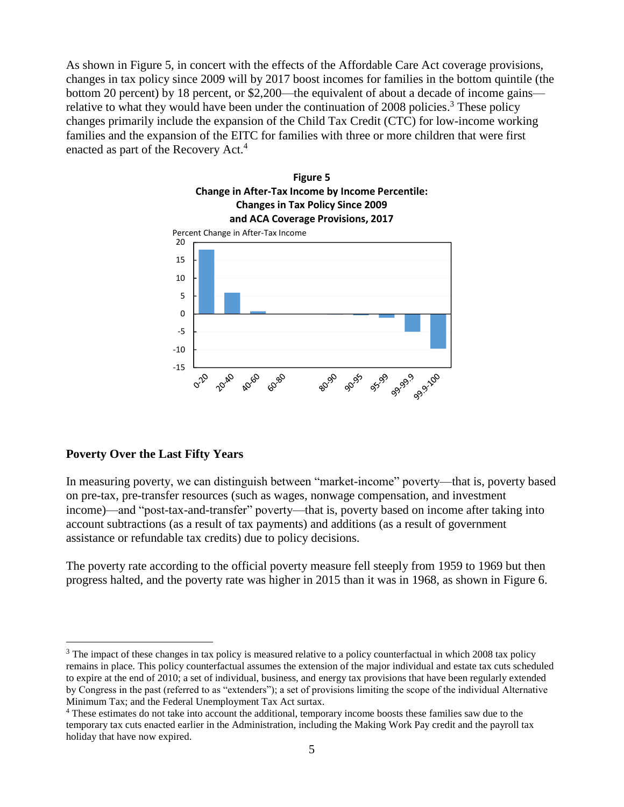As shown in Figure 5, in concert with the effects of the Affordable Care Act coverage provisions, changes in tax policy since 2009 will by 2017 boost incomes for families in the bottom quintile (the bottom 20 percent) by 18 percent, or \$2,200—the equivalent of about a decade of income gains relative to what they would have been under the continuation of 2008 policies.<sup>3</sup> These policy changes primarily include the expansion of the Child Tax Credit (CTC) for low-income working families and the expansion of the EITC for families with three or more children that were first enacted as part of the Recovery Act.<sup>4</sup>



#### **Poverty Over the Last Fifty Years**

 $\overline{a}$ 

In measuring poverty, we can distinguish between "market-income" poverty—that is, poverty based on pre-tax, pre-transfer resources (such as wages, nonwage compensation, and investment income)—and "post-tax-and-transfer" poverty—that is, poverty based on income after taking into account subtractions (as a result of tax payments) and additions (as a result of government assistance or refundable tax credits) due to policy decisions.

The poverty rate according to the official poverty measure fell steeply from 1959 to 1969 but then progress halted, and the poverty rate was higher in 2015 than it was in 1968, as shown in Figure 6.

 $3$  The impact of these changes in tax policy is measured relative to a policy counterfactual in which 2008 tax policy remains in place. This policy counterfactual assumes the extension of the major individual and estate tax cuts scheduled to expire at the end of 2010; a set of individual, business, and energy tax provisions that have been regularly extended by Congress in the past (referred to as "extenders"); a set of provisions limiting the scope of the individual Alternative Minimum Tax; and the Federal Unemployment Tax Act surtax.

<sup>4</sup> These estimates do not take into account the additional, temporary income boosts these families saw due to the temporary tax cuts enacted earlier in the Administration, including the Making Work Pay credit and the payroll tax holiday that have now expired.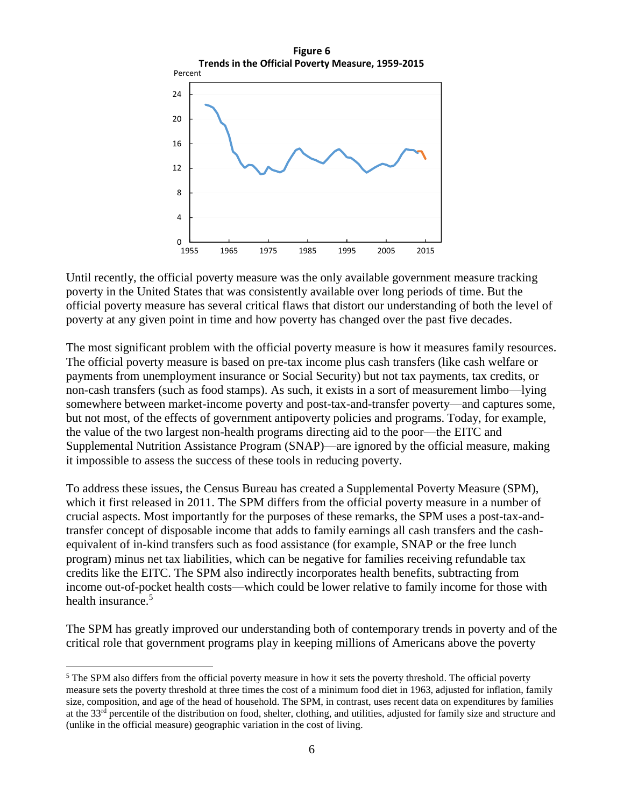

Until recently, the official poverty measure was the only available government measure tracking poverty in the United States that was consistently available over long periods of time. But the official poverty measure has several critical flaws that distort our understanding of both the level of poverty at any given point in time and how poverty has changed over the past five decades.

The most significant problem with the official poverty measure is how it measures family resources. The official poverty measure is based on pre-tax income plus cash transfers (like cash welfare or payments from unemployment insurance or Social Security) but not tax payments, tax credits, or non-cash transfers (such as food stamps). As such, it exists in a sort of measurement limbo—lying somewhere between market-income poverty and post-tax-and-transfer poverty—and captures some, but not most, of the effects of government antipoverty policies and programs. Today, for example, the value of the two largest non-health programs directing aid to the poor—the EITC and Supplemental Nutrition Assistance Program (SNAP)—are ignored by the official measure, making it impossible to assess the success of these tools in reducing poverty.

To address these issues, the Census Bureau has created a Supplemental Poverty Measure (SPM), which it first released in 2011. The SPM differs from the official poverty measure in a number of crucial aspects. Most importantly for the purposes of these remarks, the SPM uses a post-tax-andtransfer concept of disposable income that adds to family earnings all cash transfers and the cashequivalent of in-kind transfers such as food assistance (for example, SNAP or the free lunch program) minus net tax liabilities, which can be negative for families receiving refundable tax credits like the EITC. The SPM also indirectly incorporates health benefits, subtracting from income out-of-pocket health costs—which could be lower relative to family income for those with health insurance.<sup>5</sup>

The SPM has greatly improved our understanding both of contemporary trends in poverty and of the critical role that government programs play in keeping millions of Americans above the poverty

 $\overline{a}$ 

<sup>&</sup>lt;sup>5</sup> The SPM also differs from the official poverty measure in how it sets the poverty threshold. The official poverty measure sets the poverty threshold at three times the cost of a minimum food diet in 1963, adjusted for inflation, family size, composition, and age of the head of household. The SPM, in contrast, uses recent data on expenditures by families at the 33<sup>rd</sup> percentile of the distribution on food, shelter, clothing, and utilities, adjusted for family size and structure and (unlike in the official measure) geographic variation in the cost of living.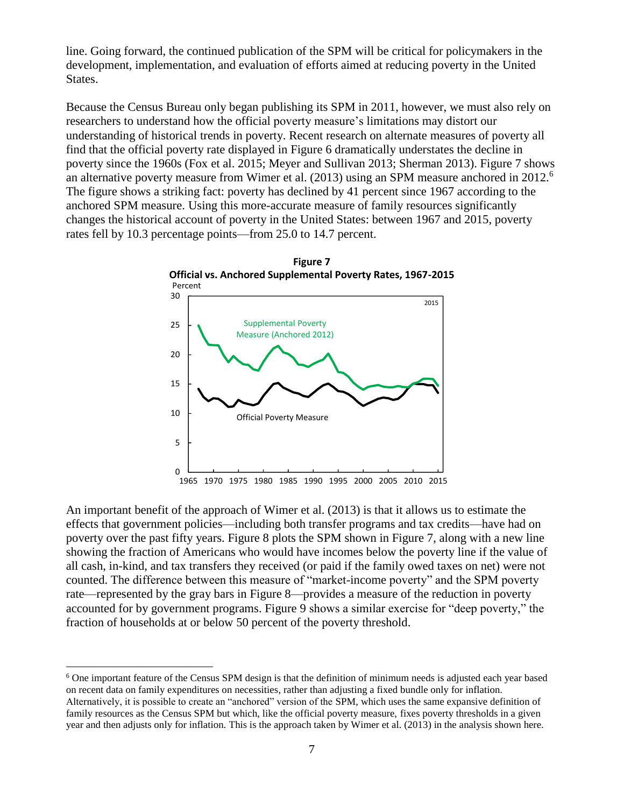line. Going forward, the continued publication of the SPM will be critical for policymakers in the development, implementation, and evaluation of efforts aimed at reducing poverty in the United States.

Because the Census Bureau only began publishing its SPM in 2011, however, we must also rely on researchers to understand how the official poverty measure's limitations may distort our understanding of historical trends in poverty. Recent research on alternate measures of poverty all find that the official poverty rate displayed in Figure 6 dramatically understates the decline in poverty since the 1960s (Fox et al. 2015; Meyer and Sullivan 2013; Sherman 2013). Figure 7 shows an alternative poverty measure from Wimer et al. (2013) using an SPM measure anchored in 2012.<sup>6</sup> The figure shows a striking fact: poverty has declined by 41 percent since 1967 according to the anchored SPM measure. Using this more-accurate measure of family resources significantly changes the historical account of poverty in the United States: between 1967 and 2015, poverty rates fell by 10.3 percentage points—from 25.0 to 14.7 percent.



An important benefit of the approach of Wimer et al. (2013) is that it allows us to estimate the effects that government policies—including both transfer programs and tax credits—have had on poverty over the past fifty years. Figure 8 plots the SPM shown in Figure 7, along with a new line showing the fraction of Americans who would have incomes below the poverty line if the value of all cash, in-kind, and tax transfers they received (or paid if the family owed taxes on net) were not counted. The difference between this measure of "market-income poverty" and the SPM poverty rate—represented by the gray bars in Figure 8—provides a measure of the reduction in poverty accounted for by government programs. Figure 9 shows a similar exercise for "deep poverty," the fraction of households at or below 50 percent of the poverty threshold.

<sup>6</sup> One important feature of the Census SPM design is that the definition of minimum needs is adjusted each year based on recent data on family expenditures on necessities, rather than adjusting a fixed bundle only for inflation. Alternatively, it is possible to create an "anchored" version of the SPM, which uses the same expansive definition of family resources as the Census SPM but which, like the official poverty measure, fixes poverty thresholds in a given year and then adjusts only for inflation. This is the approach taken by Wimer et al. (2013) in the analysis shown here.

 $\overline{a}$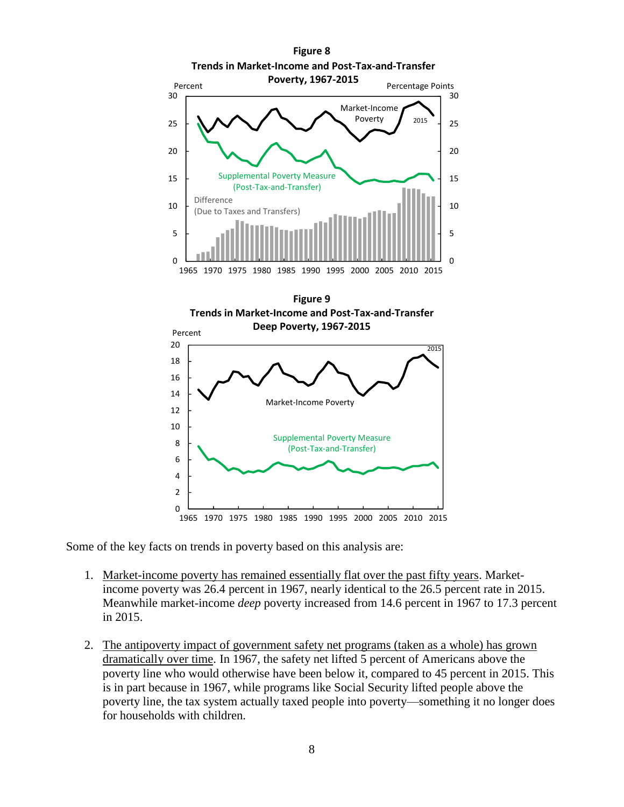

Some of the key facts on trends in poverty based on this analysis are:

- 1. Market-income poverty has remained essentially flat over the past fifty years. Marketincome poverty was 26.4 percent in 1967, nearly identical to the 26.5 percent rate in 2015. Meanwhile market-income *deep* poverty increased from 14.6 percent in 1967 to 17.3 percent in 2015.
- 2. The antipoverty impact of government safety net programs (taken as a whole) has grown dramatically over time. In 1967, the safety net lifted 5 percent of Americans above the poverty line who would otherwise have been below it, compared to 45 percent in 2015. This is in part because in 1967, while programs like Social Security lifted people above the poverty line, the tax system actually taxed people into poverty—something it no longer does for households with children.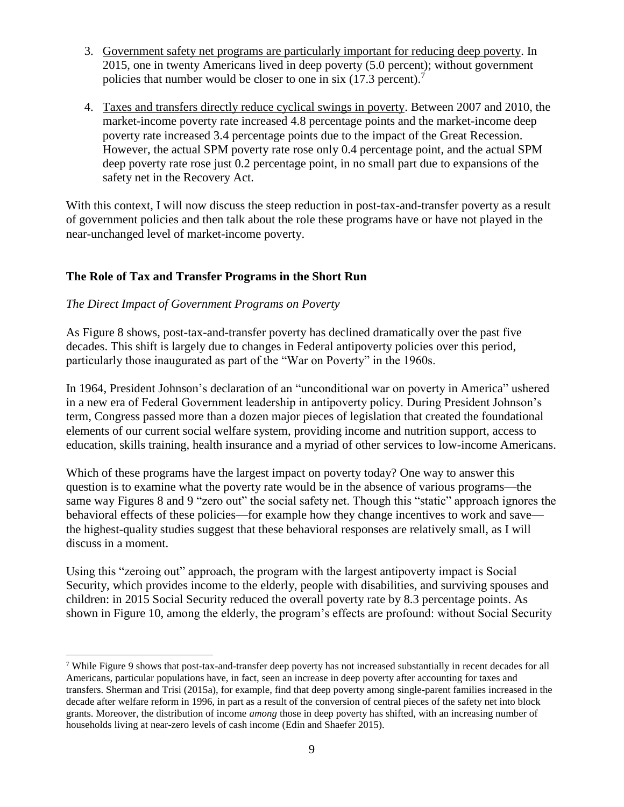- 3. Government safety net programs are particularly important for reducing deep poverty. In 2015, one in twenty Americans lived in deep poverty (5.0 percent); without government policies that number would be closer to one in six (17.3 percent).<sup>7</sup>
- 4. Taxes and transfers directly reduce cyclical swings in poverty. Between 2007 and 2010, the market-income poverty rate increased 4.8 percentage points and the market-income deep poverty rate increased 3.4 percentage points due to the impact of the Great Recession. However, the actual SPM poverty rate rose only 0.4 percentage point, and the actual SPM deep poverty rate rose just 0.2 percentage point, in no small part due to expansions of the safety net in the Recovery Act.

With this context, I will now discuss the steep reduction in post-tax-and-transfer poverty as a result of government policies and then talk about the role these programs have or have not played in the near-unchanged level of market-income poverty.

# **The Role of Tax and Transfer Programs in the Short Run**

## *The Direct Impact of Government Programs on Poverty*

 $\overline{a}$ 

As Figure 8 shows, post-tax-and-transfer poverty has declined dramatically over the past five decades. This shift is largely due to changes in Federal antipoverty policies over this period, particularly those inaugurated as part of the "War on Poverty" in the 1960s.

In 1964, President Johnson's declaration of an "unconditional war on poverty in America" ushered in a new era of Federal Government leadership in antipoverty policy. During President Johnson's term, Congress passed more than a dozen major pieces of legislation that created the foundational elements of our current social welfare system, providing income and nutrition support, access to education, skills training, health insurance and a myriad of other services to low-income Americans.

Which of these programs have the largest impact on poverty today? One way to answer this question is to examine what the poverty rate would be in the absence of various programs—the same way Figures 8 and 9 "zero out" the social safety net. Though this "static" approach ignores the behavioral effects of these policies—for example how they change incentives to work and save the highest-quality studies suggest that these behavioral responses are relatively small, as I will discuss in a moment.

Using this "zeroing out" approach, the program with the largest antipoverty impact is Social Security, which provides income to the elderly, people with disabilities, and surviving spouses and children: in 2015 Social Security reduced the overall poverty rate by 8.3 percentage points. As shown in Figure 10, among the elderly, the program's effects are profound: without Social Security

 $7$  While Figure 9 shows that post-tax-and-transfer deep poverty has not increased substantially in recent decades for all Americans, particular populations have, in fact, seen an increase in deep poverty after accounting for taxes and transfers. Sherman and Trisi (2015a), for example, find that deep poverty among single-parent families increased in the decade after welfare reform in 1996, in part as a result of the conversion of central pieces of the safety net into block grants. Moreover, the distribution of income *among* those in deep poverty has shifted, with an increasing number of households living at near-zero levels of cash income (Edin and Shaefer 2015).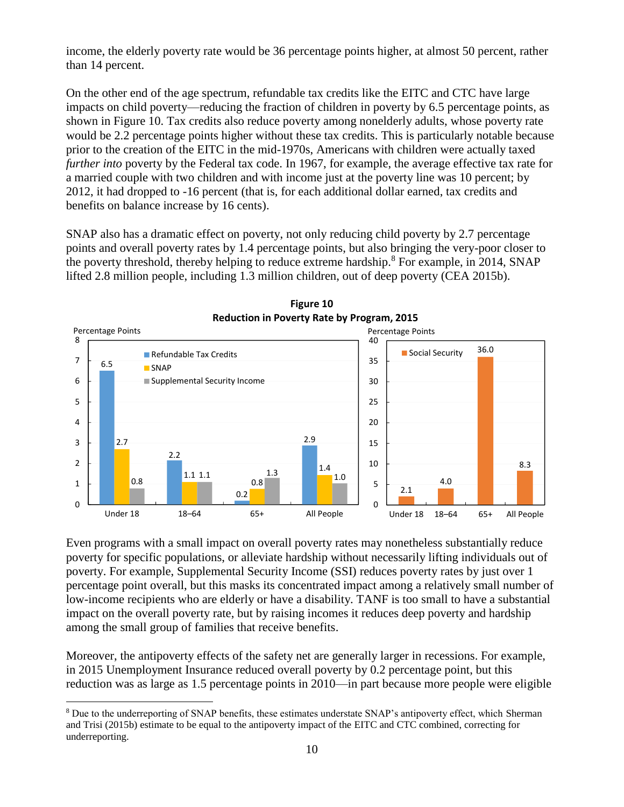income, the elderly poverty rate would be 36 percentage points higher, at almost 50 percent, rather than 14 percent.

On the other end of the age spectrum, refundable tax credits like the EITC and CTC have large impacts on child poverty—reducing the fraction of children in poverty by 6.5 percentage points, as shown in Figure 10. Tax credits also reduce poverty among nonelderly adults, whose poverty rate would be 2.2 percentage points higher without these tax credits. This is particularly notable because prior to the creation of the EITC in the mid-1970s, Americans with children were actually taxed *further into* poverty by the Federal tax code. In 1967, for example, the average effective tax rate for a married couple with two children and with income just at the poverty line was 10 percent; by 2012, it had dropped to -16 percent (that is, for each additional dollar earned, tax credits and benefits on balance increase by 16 cents).

SNAP also has a dramatic effect on poverty, not only reducing child poverty by 2.7 percentage points and overall poverty rates by 1.4 percentage points, but also bringing the very-poor closer to the poverty threshold, thereby helping to reduce extreme hardship.<sup>8</sup> For example, in 2014, SNAP lifted 2.8 million people, including 1.3 million children, out of deep poverty (CEA 2015b).



**Figure 10**

Even programs with a small impact on overall poverty rates may nonetheless substantially reduce poverty for specific populations, or alleviate hardship without necessarily lifting individuals out of poverty. For example, Supplemental Security Income (SSI) reduces poverty rates by just over 1 percentage point overall, but this masks its concentrated impact among a relatively small number of low-income recipients who are elderly or have a disability. TANF is too small to have a substantial impact on the overall poverty rate, but by raising incomes it reduces deep poverty and hardship among the small group of families that receive benefits.

Moreover, the antipoverty effects of the safety net are generally larger in recessions. For example, in 2015 Unemployment Insurance reduced overall poverty by 0.2 percentage point, but this reduction was as large as 1.5 percentage points in 2010—in part because more people were eligible

 $\overline{a}$ 

<sup>&</sup>lt;sup>8</sup> Due to the underreporting of SNAP benefits, these estimates understate SNAP's antipoverty effect, which Sherman and Trisi (2015b) estimate to be equal to the antipoverty impact of the EITC and CTC combined, correcting for underreporting.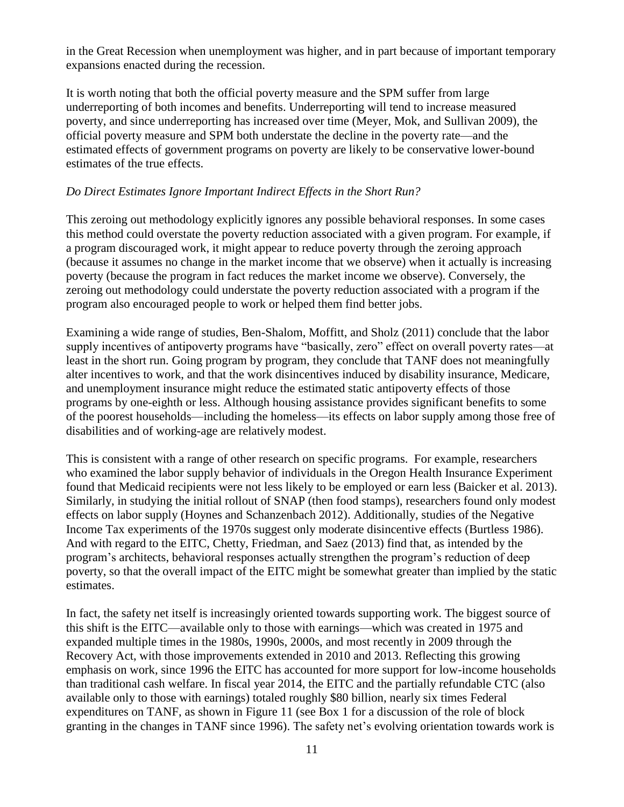in the Great Recession when unemployment was higher, and in part because of important temporary expansions enacted during the recession.

It is worth noting that both the official poverty measure and the SPM suffer from large underreporting of both incomes and benefits. Underreporting will tend to increase measured poverty, and since underreporting has increased over time (Meyer, Mok, and Sullivan 2009), the official poverty measure and SPM both understate the decline in the poverty rate—and the estimated effects of government programs on poverty are likely to be conservative lower-bound estimates of the true effects.

## *Do Direct Estimates Ignore Important Indirect Effects in the Short Run?*

This zeroing out methodology explicitly ignores any possible behavioral responses. In some cases this method could overstate the poverty reduction associated with a given program. For example, if a program discouraged work, it might appear to reduce poverty through the zeroing approach (because it assumes no change in the market income that we observe) when it actually is increasing poverty (because the program in fact reduces the market income we observe). Conversely, the zeroing out methodology could understate the poverty reduction associated with a program if the program also encouraged people to work or helped them find better jobs.

Examining a wide range of studies, Ben-Shalom, Moffitt, and Sholz (2011) conclude that the labor supply incentives of antipoverty programs have "basically, zero" effect on overall poverty rates—at least in the short run. Going program by program, they conclude that TANF does not meaningfully alter incentives to work, and that the work disincentives induced by disability insurance, Medicare, and unemployment insurance might reduce the estimated static antipoverty effects of those programs by one-eighth or less. Although housing assistance provides significant benefits to some of the poorest households—including the homeless—its effects on labor supply among those free of disabilities and of working-age are relatively modest.

This is consistent with a range of other research on specific programs. For example, researchers who examined the labor supply behavior of individuals in the Oregon Health Insurance Experiment found that Medicaid recipients were not less likely to be employed or earn less (Baicker et al. 2013). Similarly, in studying the initial rollout of SNAP (then food stamps), researchers found only modest effects on labor supply (Hoynes and Schanzenbach 2012). Additionally, studies of the Negative Income Tax experiments of the 1970s suggest only moderate disincentive effects (Burtless 1986). And with regard to the EITC, Chetty, Friedman, and Saez (2013) find that, as intended by the program's architects, behavioral responses actually strengthen the program's reduction of deep poverty, so that the overall impact of the EITC might be somewhat greater than implied by the static estimates.

In fact, the safety net itself is increasingly oriented towards supporting work. The biggest source of this shift is the EITC—available only to those with earnings—which was created in 1975 and expanded multiple times in the 1980s, 1990s, 2000s, and most recently in 2009 through the Recovery Act, with those improvements extended in 2010 and 2013. Reflecting this growing emphasis on work, since 1996 the EITC has accounted for more support for low-income households than traditional cash welfare. In fiscal year 2014, the EITC and the partially refundable CTC (also available only to those with earnings) totaled roughly \$80 billion, nearly six times Federal expenditures on TANF, as shown in Figure 11 (see Box 1 for a discussion of the role of block granting in the changes in TANF since 1996). The safety net's evolving orientation towards work is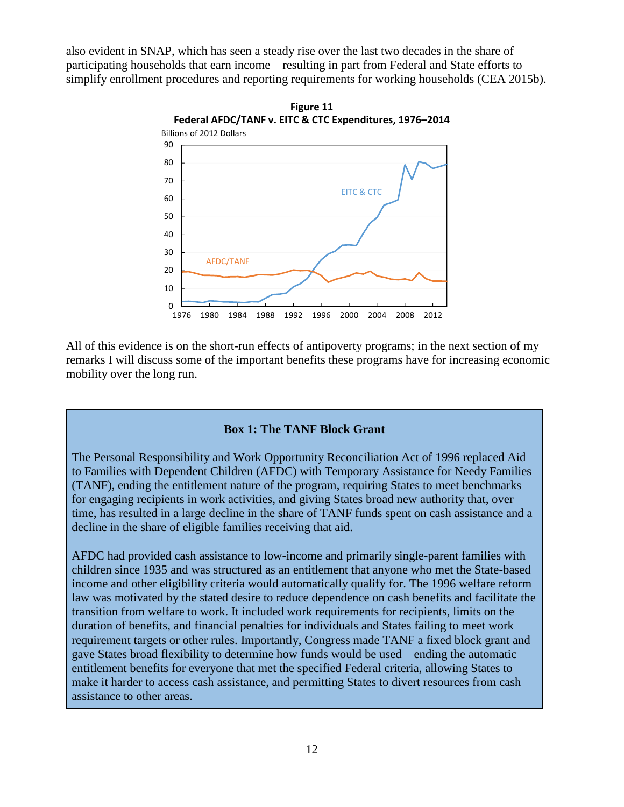also evident in SNAP, which has seen a steady rise over the last two decades in the share of participating households that earn income—resulting in part from Federal and State efforts to simplify enrollment procedures and reporting requirements for working households (CEA 2015b).



All of this evidence is on the short-run effects of antipoverty programs; in the next section of my remarks I will discuss some of the important benefits these programs have for increasing economic mobility over the long run.

## **Box 1: The TANF Block Grant**

The Personal Responsibility and Work Opportunity Reconciliation Act of 1996 replaced Aid to Families with Dependent Children (AFDC) with Temporary Assistance for Needy Families (TANF), ending the entitlement nature of the program, requiring States to meet benchmarks for engaging recipients in work activities, and giving States broad new authority that, over time, has resulted in a large decline in the share of TANF funds spent on cash assistance and a decline in the share of eligible families receiving that aid.

AFDC had provided cash assistance to low-income and primarily single-parent families with children since 1935 and was structured as an entitlement that anyone who met the State-based income and other eligibility criteria would automatically qualify for. The 1996 welfare reform law was motivated by the stated desire to reduce dependence on cash benefits and facilitate the transition from welfare to work. It included work requirements for recipients, limits on the duration of benefits, and financial penalties for individuals and States failing to meet work requirement targets or other rules. Importantly, Congress made TANF a fixed block grant and gave States broad flexibility to determine how funds would be used—ending the automatic entitlement benefits for everyone that met the specified Federal criteria, allowing States to make it harder to access cash assistance, and permitting States to divert resources from cash assistance to other areas.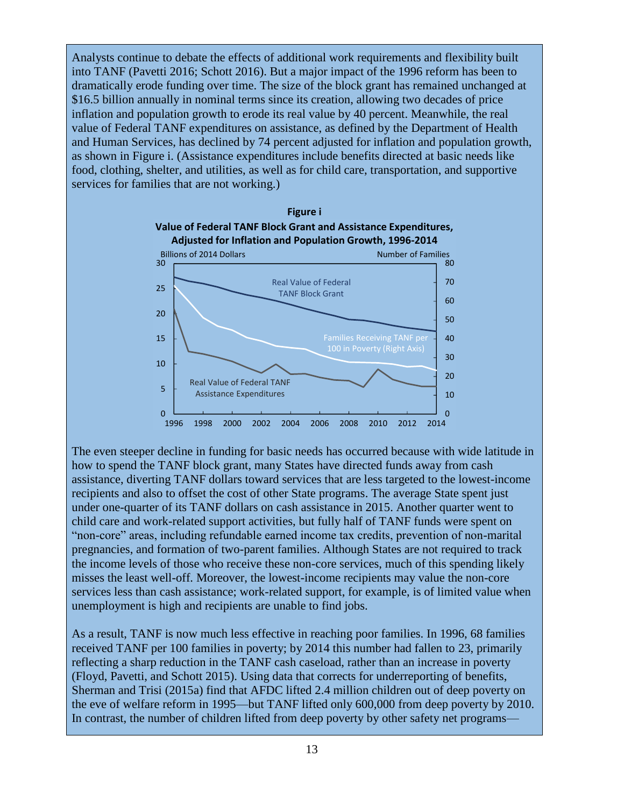Analysts continue to debate the effects of additional work requirements and flexibility built into TANF (Pavetti 2016; Schott 2016). But a major impact of the 1996 reform has been to dramatically erode funding over time. The size of the block grant has remained unchanged at \$16.5 billion annually in nominal terms since its creation, allowing two decades of price inflation and population growth to erode its real value by 40 percent. Meanwhile, the real value of Federal TANF expenditures on assistance, as defined by the Department of Health and Human Services, has declined by 74 percent adjusted for inflation and population growth, as shown in Figure i. (Assistance expenditures include benefits directed at basic needs like food, clothing, shelter, and utilities, as well as for child care, transportation, and supportive services for families that are not working.)



The even steeper decline in funding for basic needs has occurred because with wide latitude in how to spend the TANF block grant, many States have directed funds away from cash assistance, diverting TANF dollars toward services that are less targeted to the lowest-income recipients and also to offset the cost of other State programs. The average State spent just under one-quarter of its TANF dollars on cash assistance in 2015. Another quarter went to child care and work-related support activities, but fully half of TANF funds were spent on "non-core" areas, including refundable earned income tax credits, prevention of non-marital pregnancies, and formation of two-parent families. Although States are not required to track the income levels of those who receive these non-core services, much of this spending likely misses the least well-off. Moreover, the lowest-income recipients may value the non-core services less than cash assistance; work-related support, for example, is of limited value when unemployment is high and recipients are unable to find jobs.

As a result, TANF is now much less effective in reaching poor families. In 1996, 68 families received TANF per 100 families in poverty; by 2014 this number had fallen to 23, primarily reflecting a sharp reduction in the TANF cash caseload, rather than an increase in poverty (Floyd, Pavetti, and Schott 2015). Using data that corrects for underreporting of benefits, Sherman and Trisi (2015a) find that AFDC lifted 2.4 million children out of deep poverty on the eve of welfare reform in 1995—but TANF lifted only 600,000 from deep poverty by 2010. In contrast, the number of children lifted from deep poverty by other safety net programs—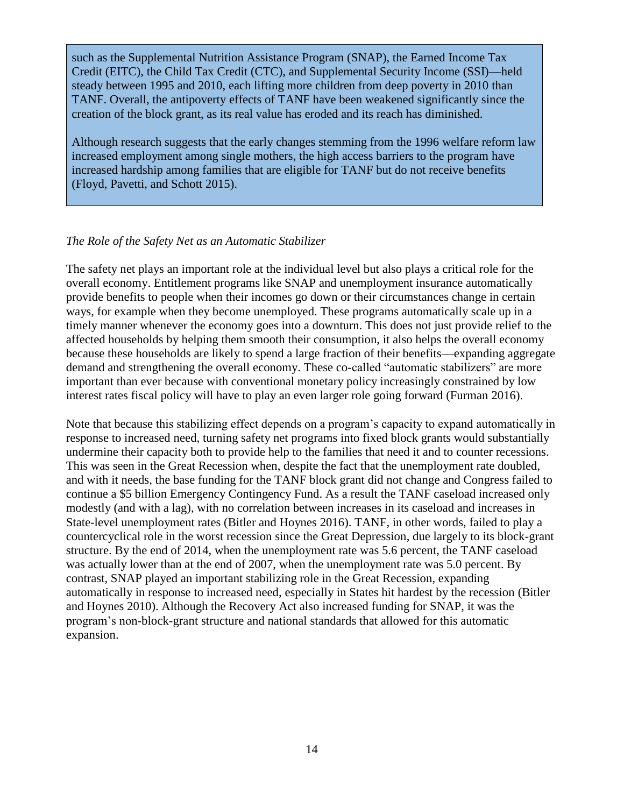such as the Supplemental Nutrition Assistance Program (SNAP), the Earned Income Tax Credit (EITC), the Child Tax Credit (CTC), and Supplemental Security Income (SSI)—held steady between 1995 and 2010, each lifting more children from deep poverty in 2010 than TANF. Overall, the antipoverty effects of TANF have been weakened significantly since the creation of the block grant, as its real value has eroded and its reach has diminished.

Although research suggests that the early changes stemming from the 1996 welfare reform law increased employment among single mothers, the high access barriers to the program have increased hardship among families that are eligible for TANF but do not receive benefits (Floyd, Pavetti, and Schott 2015).

### *The Role of the Safety Net as an Automatic Stabilizer*

The safety net plays an important role at the individual level but also plays a critical role for the overall economy. Entitlement programs like SNAP and unemployment insurance automatically provide benefits to people when their incomes go down or their circumstances change in certain ways, for example when they become unemployed. These programs automatically scale up in a timely manner whenever the economy goes into a downturn. This does not just provide relief to the affected households by helping them smooth their consumption, it also helps the overall economy because these households are likely to spend a large fraction of their benefits—expanding aggregate demand and strengthening the overall economy. These co-called "automatic stabilizers" are more important than ever because with conventional monetary policy increasingly constrained by low interest rates fiscal policy will have to play an even larger role going forward (Furman 2016).

Note that because this stabilizing effect depends on a program's capacity to expand automatically in response to increased need, turning safety net programs into fixed block grants would substantially undermine their capacity both to provide help to the families that need it and to counter recessions. This was seen in the Great Recession when, despite the fact that the unemployment rate doubled, and with it needs, the base funding for the TANF block grant did not change and Congress failed to continue a \$5 billion Emergency Contingency Fund. As a result the TANF caseload increased only modestly (and with a lag), with no correlation between increases in its caseload and increases in State-level unemployment rates (Bitler and Hoynes 2016). TANF, in other words, failed to play a countercyclical role in the worst recession since the Great Depression, due largely to its block-grant structure. By the end of 2014, when the unemployment rate was 5.6 percent, the TANF caseload was actually lower than at the end of 2007, when the unemployment rate was 5.0 percent. By contrast, SNAP played an important stabilizing role in the Great Recession, expanding automatically in response to increased need, especially in States hit hardest by the recession (Bitler and Hoynes 2010). Although the Recovery Act also increased funding for SNAP, it was the program's non-block-grant structure and national standards that allowed for this automatic expansion.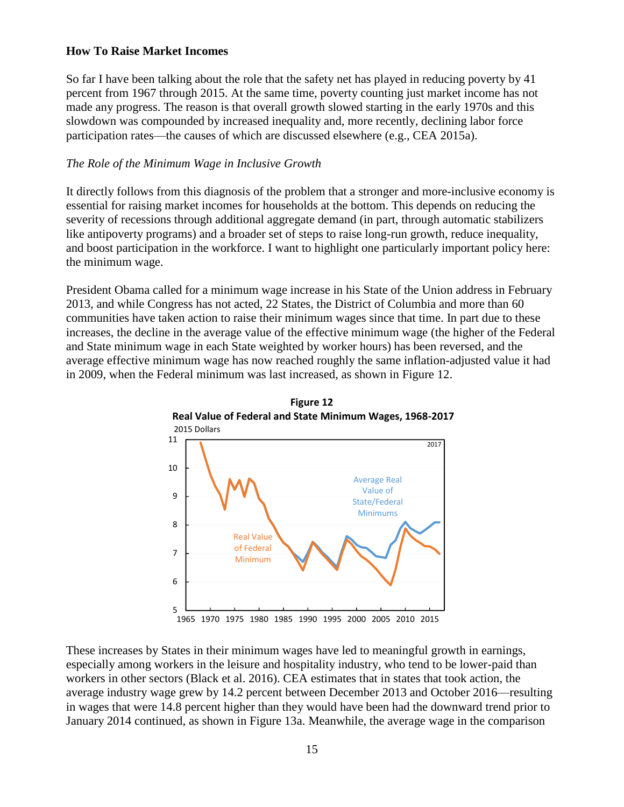## **How To Raise Market Incomes**

So far I have been talking about the role that the safety net has played in reducing poverty by 41 percent from 1967 through 2015. At the same time, poverty counting just market income has not made any progress. The reason is that overall growth slowed starting in the early 1970s and this slowdown was compounded by increased inequality and, more recently, declining labor force participation rates—the causes of which are discussed elsewhere (e.g., CEA 2015a).

# *The Role of the Minimum Wage in Inclusive Growth*

It directly follows from this diagnosis of the problem that a stronger and more-inclusive economy is essential for raising market incomes for households at the bottom. This depends on reducing the severity of recessions through additional aggregate demand (in part, through automatic stabilizers like antipoverty programs) and a broader set of steps to raise long-run growth, reduce inequality, and boost participation in the workforce. I want to highlight one particularly important policy here: the minimum wage.

President Obama called for a minimum wage increase in his State of the Union address in February 2013, and while Congress has not acted, 22 States, the District of Columbia and more than 60 communities have taken action to raise their minimum wages since that time. In part due to these increases, the decline in the average value of the effective minimum wage (the higher of the Federal and State minimum wage in each State weighted by worker hours) has been reversed, and the average effective minimum wage has now reached roughly the same inflation-adjusted value it had in 2009, when the Federal minimum was last increased, as shown in Figure 12.



These increases by States in their minimum wages have led to meaningful growth in earnings, especially among workers in the leisure and hospitality industry, who tend to be lower-paid than workers in other sectors (Black et al. 2016). CEA estimates that in states that took action, the average industry wage grew by 14.2 percent between December 2013 and October 2016—resulting in wages that were 14.8 percent higher than they would have been had the downward trend prior to January 2014 continued, as shown in Figure 13a. Meanwhile, the average wage in the comparison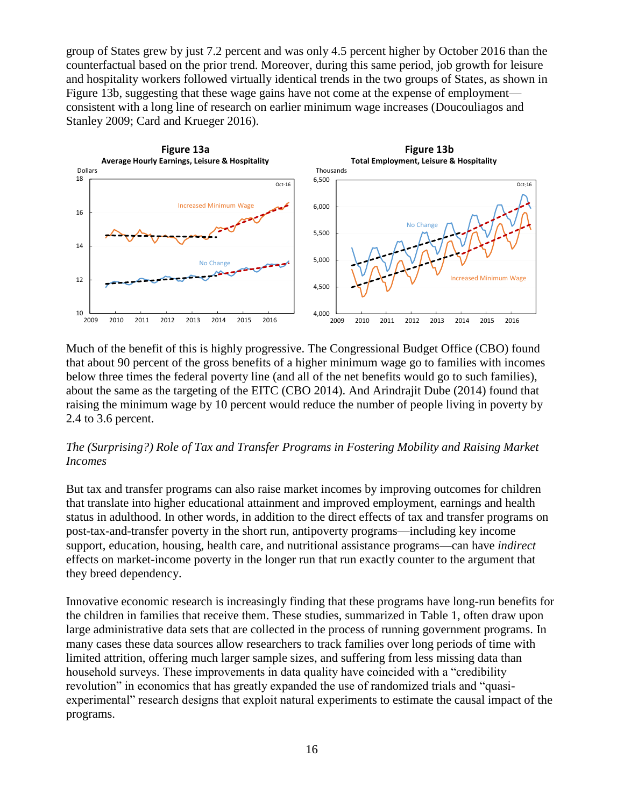group of States grew by just 7.2 percent and was only 4.5 percent higher by October 2016 than the counterfactual based on the prior trend. Moreover, during this same period, job growth for leisure and hospitality workers followed virtually identical trends in the two groups of States, as shown in Figure 13b, suggesting that these wage gains have not come at the expense of employment consistent with a long line of research on earlier minimum wage increases (Doucouliagos and Stanley 2009; Card and Krueger 2016).



Much of the benefit of this is highly progressive. The Congressional Budget Office (CBO) found that about 90 percent of the gross benefits of a higher minimum wage go to families with incomes below three times the federal poverty line (and all of the net benefits would go to such families), about the same as the targeting of the EITC (CBO 2014). And Arindrajit Dube (2014) found that raising the minimum wage by 10 percent would reduce the number of people living in poverty by 2.4 to 3.6 percent.

# *The (Surprising?) Role of Tax and Transfer Programs in Fostering Mobility and Raising Market Incomes*

But tax and transfer programs can also raise market incomes by improving outcomes for children that translate into higher educational attainment and improved employment, earnings and health status in adulthood. In other words, in addition to the direct effects of tax and transfer programs on post-tax-and-transfer poverty in the short run, antipoverty programs—including key income support, education, housing, health care, and nutritional assistance programs—can have *indirect* effects on market-income poverty in the longer run that run exactly counter to the argument that they breed dependency.

Innovative economic research is increasingly finding that these programs have long-run benefits for the children in families that receive them. These studies, summarized in Table 1, often draw upon large administrative data sets that are collected in the process of running government programs. In many cases these data sources allow researchers to track families over long periods of time with limited attrition, offering much larger sample sizes, and suffering from less missing data than household surveys. These improvements in data quality have coincided with a "credibility revolution" in economics that has greatly expanded the use of randomized trials and "quasiexperimental" research designs that exploit natural experiments to estimate the causal impact of the programs.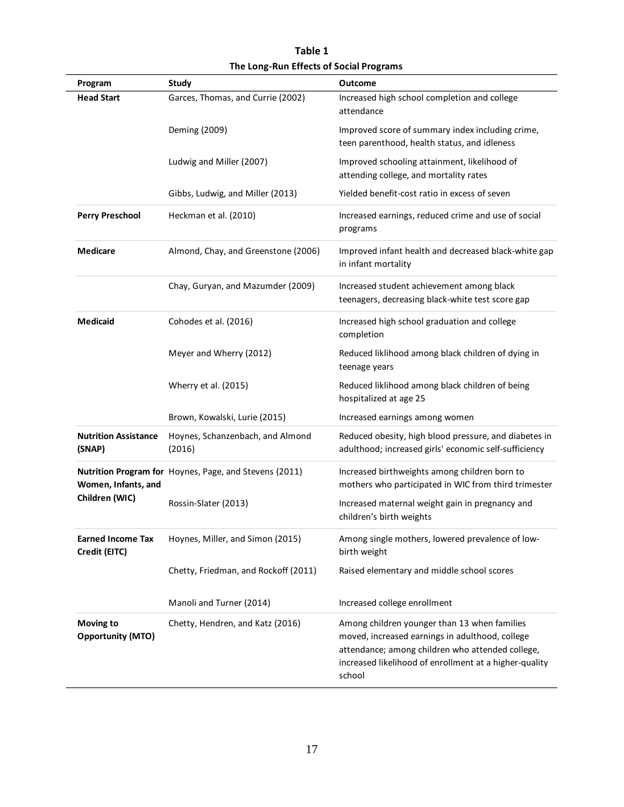| Program                                      | <b>Study</b>                                           | <b>Outcome</b>                                                                                                                                                                                                          |
|----------------------------------------------|--------------------------------------------------------|-------------------------------------------------------------------------------------------------------------------------------------------------------------------------------------------------------------------------|
| <b>Head Start</b>                            | Garces, Thomas, and Currie (2002)                      | Increased high school completion and college<br>attendance                                                                                                                                                              |
|                                              | Deming (2009)                                          | Improved score of summary index including crime,<br>teen parenthood, health status, and idleness                                                                                                                        |
|                                              | Ludwig and Miller (2007)                               | Improved schooling attainment, likelihood of<br>attending college, and mortality rates                                                                                                                                  |
|                                              | Gibbs, Ludwig, and Miller (2013)                       | Yielded benefit-cost ratio in excess of seven                                                                                                                                                                           |
| <b>Perry Preschool</b>                       | Heckman et al. (2010)                                  | Increased earnings, reduced crime and use of social<br>programs                                                                                                                                                         |
| <b>Medicare</b>                              | Almond, Chay, and Greenstone (2006)                    | Improved infant health and decreased black-white gap<br>in infant mortality                                                                                                                                             |
|                                              | Chay, Guryan, and Mazumder (2009)                      | Increased student achievement among black<br>teenagers, decreasing black-white test score gap                                                                                                                           |
| <b>Medicaid</b>                              | Cohodes et al. (2016)                                  | Increased high school graduation and college<br>completion                                                                                                                                                              |
|                                              | Meyer and Wherry (2012)                                | Reduced liklihood among black children of dying in<br>teenage years                                                                                                                                                     |
|                                              | Wherry et al. (2015)                                   | Reduced liklihood among black children of being<br>hospitalized at age 25                                                                                                                                               |
|                                              | Brown, Kowalski, Lurie (2015)                          | Increased earnings among women                                                                                                                                                                                          |
| <b>Nutrition Assistance</b><br>(SNAP)        | Hoynes, Schanzenbach, and Almond<br>(2016)             | Reduced obesity, high blood pressure, and diabetes in<br>adulthood; increased girls' economic self-sufficiency                                                                                                          |
| Women, Infants, and<br>Children (WIC)        | Nutrition Program for Hoynes, Page, and Stevens (2011) | Increased birthweights among children born to<br>mothers who participated in WIC from third trimester                                                                                                                   |
|                                              | Rossin-Slater (2013)                                   | Increased maternal weight gain in pregnancy and<br>children's birth weights                                                                                                                                             |
| <b>Earned Income Tax</b><br>Credit (EITC)    | Hoynes, Miller, and Simon (2015)                       | Among single mothers, lowered prevalence of low-<br>birth weight                                                                                                                                                        |
|                                              | Chetty, Friedman, and Rockoff (2011)                   | Raised elementary and middle school scores                                                                                                                                                                              |
|                                              | Manoli and Turner (2014)                               | Increased college enrollment                                                                                                                                                                                            |
| <b>Moving to</b><br><b>Opportunity (MTO)</b> | Chetty, Hendren, and Katz (2016)                       | Among children younger than 13 when families<br>moved, increased earnings in adulthood, college<br>attendance; among children who attended college,<br>increased likelihood of enrollment at a higher-quality<br>school |

**Table 1 The Long-Run Effects of Social Programs**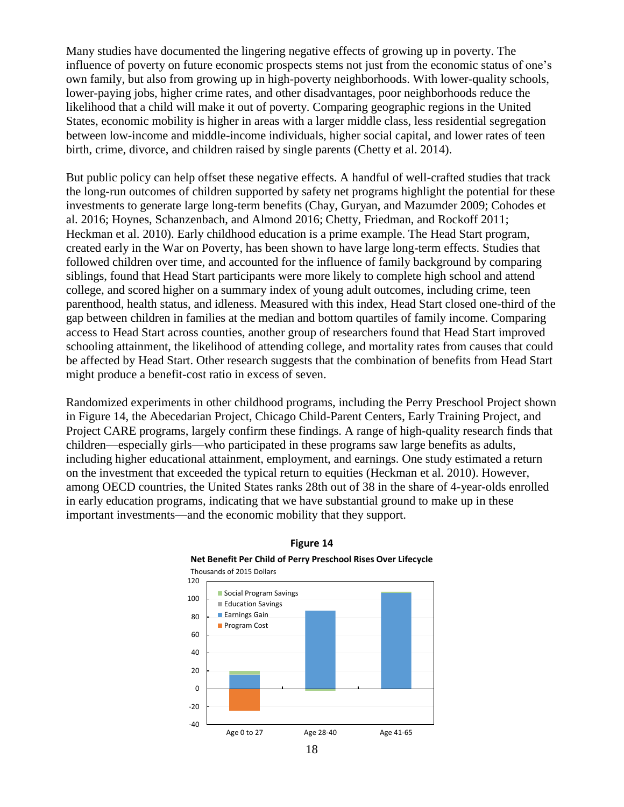Many studies have documented the lingering negative effects of growing up in poverty. The influence of poverty on future economic prospects stems not just from the economic status of one's own family, but also from growing up in high-poverty neighborhoods. With lower-quality schools, lower-paying jobs, higher crime rates, and other disadvantages, poor neighborhoods reduce the likelihood that a child will make it out of poverty. Comparing geographic regions in the United States, economic mobility is higher in areas with a larger middle class, less residential segregation between low-income and middle-income individuals, higher social capital, and lower rates of teen birth, crime, divorce, and children raised by single parents (Chetty et al. 2014).

But public policy can help offset these negative effects. A handful of well-crafted studies that track the long-run outcomes of children supported by safety net programs highlight the potential for these investments to generate large long-term benefits (Chay, Guryan, and Mazumder 2009; Cohodes et al. 2016; Hoynes, Schanzenbach, and Almond 2016; Chetty, Friedman, and Rockoff 2011; Heckman et al. 2010). Early childhood education is a prime example. The Head Start program, created early in the War on Poverty, has been shown to have large long-term effects. Studies that followed children over time, and accounted for the influence of family background by comparing siblings, found that Head Start participants were more likely to complete high school and attend college, and scored higher on a summary index of young adult outcomes, including crime, teen parenthood, health status, and idleness. Measured with this index, Head Start closed one-third of the gap between children in families at the median and bottom quartiles of family income. Comparing access to Head Start across counties, another group of researchers found that Head Start improved schooling attainment, the likelihood of attending college, and mortality rates from causes that could be affected by Head Start. Other research suggests that the combination of benefits from Head Start might produce a benefit-cost ratio in excess of seven.

Randomized experiments in other childhood programs, including the Perry Preschool Project shown in Figure 14, the Abecedarian Project, Chicago Child-Parent Centers, Early Training Project, and Project CARE programs, largely confirm these findings. A range of high-quality research finds that children—especially girls—who participated in these programs saw large benefits as adults, including higher educational attainment, employment, and earnings. One study estimated a return on the investment that exceeded the typical return to equities (Heckman et al. 2010). However, among OECD countries, the United States ranks 28th out of 38 in the share of 4-year-olds enrolled in early education programs, indicating that we have substantial ground to make up in these important investments—and the economic mobility that they support.



## **Figure 14 Net Benefit Per Child of Perry Preschool Rises Over Lifecycle**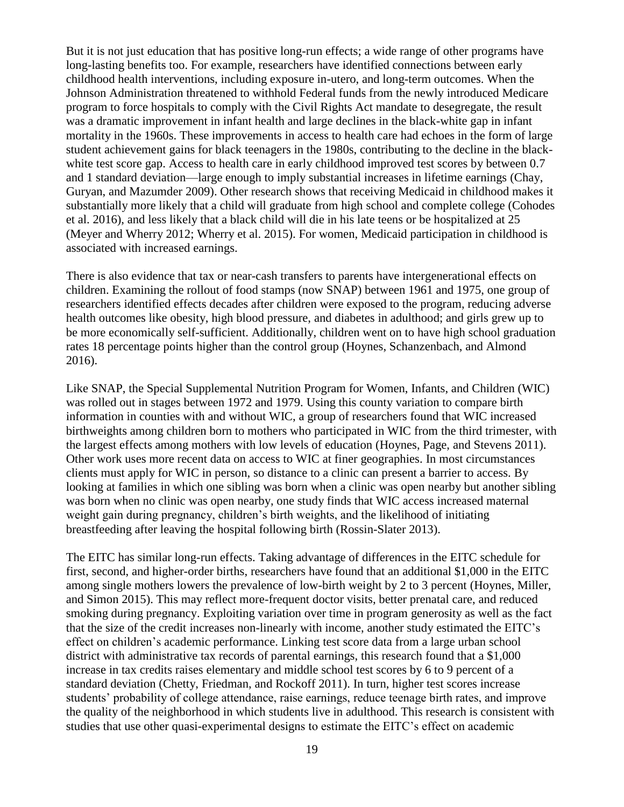But it is not just education that has positive long-run effects; a wide range of other programs have long-lasting benefits too. For example, researchers have identified connections between early childhood health interventions, including exposure in-utero, and long-term outcomes. When the Johnson Administration threatened to withhold Federal funds from the newly introduced Medicare program to force hospitals to comply with the Civil Rights Act mandate to desegregate, the result was a dramatic improvement in infant health and large declines in the black-white gap in infant mortality in the 1960s. These improvements in access to health care had echoes in the form of large student achievement gains for black teenagers in the 1980s, contributing to the decline in the blackwhite test score gap. Access to health care in early childhood improved test scores by between 0.7 and 1 standard deviation—large enough to imply substantial increases in lifetime earnings (Chay, Guryan, and Mazumder 2009). Other research shows that receiving Medicaid in childhood makes it substantially more likely that a child will graduate from high school and complete college (Cohodes et al. 2016), and less likely that a black child will die in his late teens or be hospitalized at 25 (Meyer and Wherry 2012; Wherry et al. 2015). For women, Medicaid participation in childhood is associated with increased earnings.

There is also evidence that tax or near-cash transfers to parents have intergenerational effects on children. Examining the rollout of food stamps (now SNAP) between 1961 and 1975, one group of researchers identified effects decades after children were exposed to the program, reducing adverse health outcomes like obesity, high blood pressure, and diabetes in adulthood; and girls grew up to be more economically self-sufficient. Additionally, children went on to have high school graduation rates 18 percentage points higher than the control group (Hoynes, Schanzenbach, and Almond 2016).

Like SNAP, the Special Supplemental Nutrition Program for Women, Infants, and Children (WIC) was rolled out in stages between 1972 and 1979. Using this county variation to compare birth information in counties with and without WIC, a group of researchers found that WIC increased birthweights among children born to mothers who participated in WIC from the third trimester, with the largest effects among mothers with low levels of education (Hoynes, Page, and Stevens 2011). Other work uses more recent data on access to WIC at finer geographies. In most circumstances clients must apply for WIC in person, so distance to a clinic can present a barrier to access. By looking at families in which one sibling was born when a clinic was open nearby but another sibling was born when no clinic was open nearby, one study finds that WIC access increased maternal weight gain during pregnancy, children's birth weights, and the likelihood of initiating breastfeeding after leaving the hospital following birth (Rossin-Slater 2013).

The EITC has similar long-run effects. Taking advantage of differences in the EITC schedule for first, second, and higher-order births, researchers have found that an additional \$1,000 in the EITC among single mothers lowers the prevalence of low-birth weight by 2 to 3 percent (Hoynes, Miller, and Simon 2015). This may reflect more-frequent doctor visits, better prenatal care, and reduced smoking during pregnancy. Exploiting variation over time in program generosity as well as the fact that the size of the credit increases non-linearly with income, another study estimated the EITC's effect on children's academic performance. Linking test score data from a large urban school district with administrative tax records of parental earnings, this research found that a \$1,000 increase in tax credits raises elementary and middle school test scores by 6 to 9 percent of a standard deviation (Chetty, Friedman, and Rockoff 2011). In turn, higher test scores increase students' probability of college attendance, raise earnings, reduce teenage birth rates, and improve the quality of the neighborhood in which students live in adulthood. This research is consistent with studies that use other quasi-experimental designs to estimate the EITC's effect on academic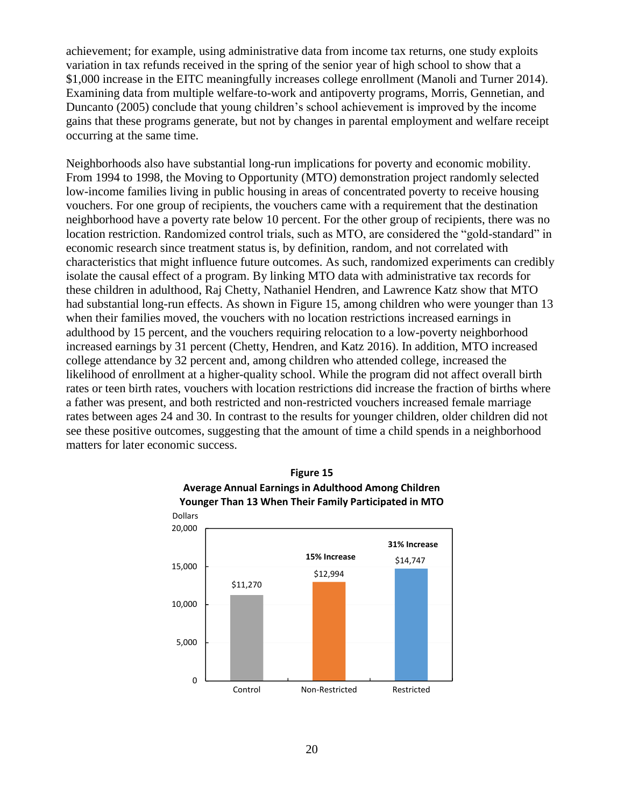achievement; for example, using administrative data from income tax returns, one study exploits variation in tax refunds received in the spring of the senior year of high school to show that a \$1,000 increase in the EITC meaningfully increases college enrollment (Manoli and Turner 2014). Examining data from multiple welfare-to-work and antipoverty programs, Morris, Gennetian, and Duncanto (2005) conclude that young children's school achievement is improved by the income gains that these programs generate, but not by changes in parental employment and welfare receipt occurring at the same time.

Neighborhoods also have substantial long-run implications for poverty and economic mobility. From 1994 to 1998, the Moving to Opportunity (MTO) demonstration project randomly selected low-income families living in public housing in areas of concentrated poverty to receive housing vouchers. For one group of recipients, the vouchers came with a requirement that the destination neighborhood have a poverty rate below 10 percent. For the other group of recipients, there was no location restriction. Randomized control trials, such as MTO, are considered the "gold-standard" in economic research since treatment status is, by definition, random, and not correlated with characteristics that might influence future outcomes. As such, randomized experiments can credibly isolate the causal effect of a program. By linking MTO data with administrative tax records for these children in adulthood, Raj Chetty, Nathaniel Hendren, and Lawrence Katz show that MTO had substantial long-run effects. As shown in Figure 15, among children who were younger than 13 when their families moved, the vouchers with no location restrictions increased earnings in adulthood by 15 percent, and the vouchers requiring relocation to a low-poverty neighborhood increased earnings by 31 percent (Chetty, Hendren, and Katz 2016). In addition, MTO increased college attendance by 32 percent and, among children who attended college, increased the likelihood of enrollment at a higher-quality school. While the program did not affect overall birth rates or teen birth rates, vouchers with location restrictions did increase the fraction of births where a father was present, and both restricted and non-restricted vouchers increased female marriage rates between ages 24 and 30. In contrast to the results for younger children, older children did not see these positive outcomes, suggesting that the amount of time a child spends in a neighborhood matters for later economic success.



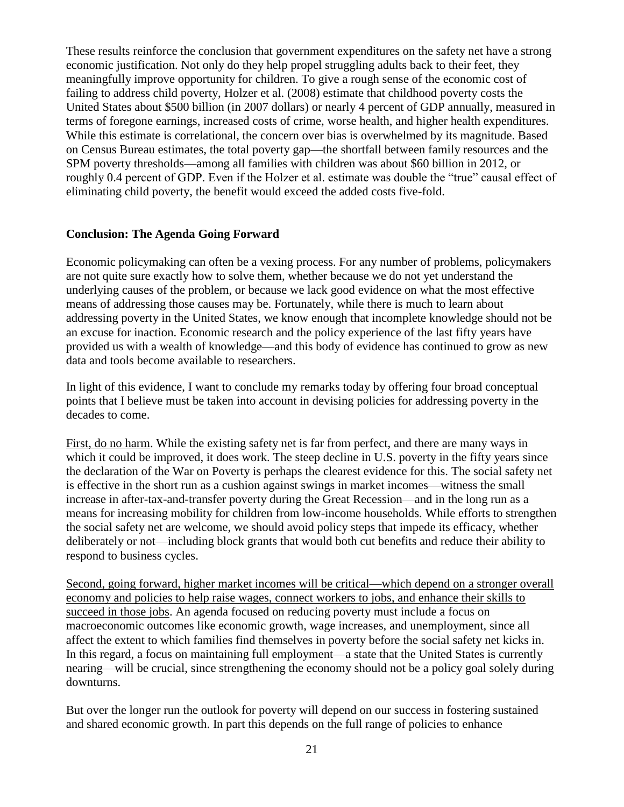These results reinforce the conclusion that government expenditures on the safety net have a strong economic justification. Not only do they help propel struggling adults back to their feet, they meaningfully improve opportunity for children. To give a rough sense of the economic cost of failing to address child poverty, Holzer et al. (2008) estimate that childhood poverty costs the United States about \$500 billion (in 2007 dollars) or nearly 4 percent of GDP annually, measured in terms of foregone earnings, increased costs of crime, worse health, and higher health expenditures. While this estimate is correlational, the concern over bias is overwhelmed by its magnitude. Based on Census Bureau estimates, the total poverty gap—the shortfall between family resources and the SPM poverty thresholds—among all families with children was about \$60 billion in 2012, or roughly 0.4 percent of GDP. Even if the Holzer et al. estimate was double the "true" causal effect of eliminating child poverty, the benefit would exceed the added costs five-fold.

### **Conclusion: The Agenda Going Forward**

Economic policymaking can often be a vexing process. For any number of problems, policymakers are not quite sure exactly how to solve them, whether because we do not yet understand the underlying causes of the problem, or because we lack good evidence on what the most effective means of addressing those causes may be. Fortunately, while there is much to learn about addressing poverty in the United States, we know enough that incomplete knowledge should not be an excuse for inaction. Economic research and the policy experience of the last fifty years have provided us with a wealth of knowledge—and this body of evidence has continued to grow as new data and tools become available to researchers.

In light of this evidence, I want to conclude my remarks today by offering four broad conceptual points that I believe must be taken into account in devising policies for addressing poverty in the decades to come.

First, do no harm. While the existing safety net is far from perfect, and there are many ways in which it could be improved, it does work. The steep decline in U.S. poverty in the fifty years since the declaration of the War on Poverty is perhaps the clearest evidence for this. The social safety net is effective in the short run as a cushion against swings in market incomes—witness the small increase in after-tax-and-transfer poverty during the Great Recession—and in the long run as a means for increasing mobility for children from low-income households. While efforts to strengthen the social safety net are welcome, we should avoid policy steps that impede its efficacy, whether deliberately or not—including block grants that would both cut benefits and reduce their ability to respond to business cycles.

Second, going forward, higher market incomes will be critical—which depend on a stronger overall economy and policies to help raise wages, connect workers to jobs, and enhance their skills to succeed in those jobs. An agenda focused on reducing poverty must include a focus on macroeconomic outcomes like economic growth, wage increases, and unemployment, since all affect the extent to which families find themselves in poverty before the social safety net kicks in. In this regard, a focus on maintaining full employment—a state that the United States is currently nearing—will be crucial, since strengthening the economy should not be a policy goal solely during downturns.

But over the longer run the outlook for poverty will depend on our success in fostering sustained and shared economic growth. In part this depends on the full range of policies to enhance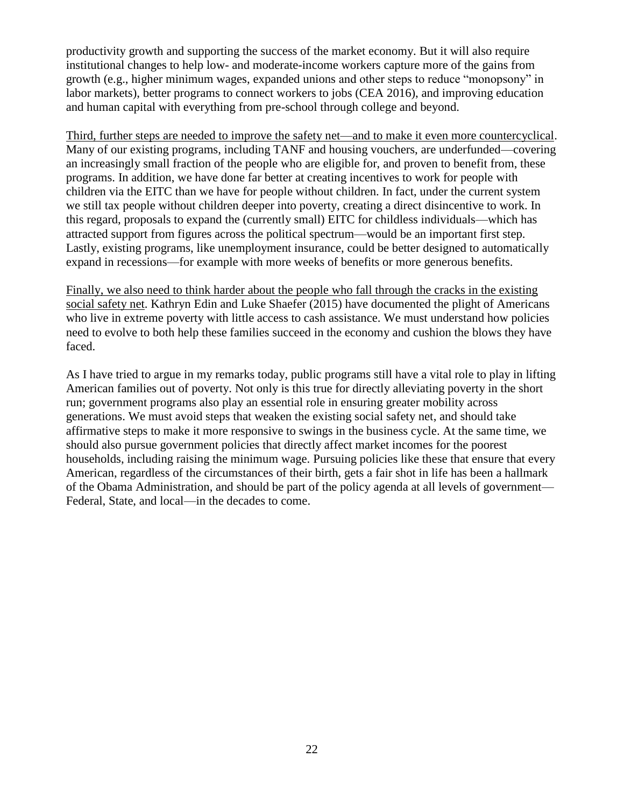productivity growth and supporting the success of the market economy. But it will also require institutional changes to help low- and moderate-income workers capture more of the gains from growth (e.g., higher minimum wages, expanded unions and other steps to reduce "monopsony" in labor markets), better programs to connect workers to jobs (CEA 2016), and improving education and human capital with everything from pre-school through college and beyond.

Third, further steps are needed to improve the safety net—and to make it even more countercyclical. Many of our existing programs, including TANF and housing vouchers, are underfunded—covering an increasingly small fraction of the people who are eligible for, and proven to benefit from, these programs. In addition, we have done far better at creating incentives to work for people with children via the EITC than we have for people without children. In fact, under the current system we still tax people without children deeper into poverty, creating a direct disincentive to work. In this regard, proposals to expand the (currently small) EITC for childless individuals—which has attracted support from figures across the political spectrum—would be an important first step. Lastly, existing programs, like unemployment insurance, could be better designed to automatically expand in recessions—for example with more weeks of benefits or more generous benefits.

Finally, we also need to think harder about the people who fall through the cracks in the existing social safety net. Kathryn Edin and Luke Shaefer (2015) have documented the plight of Americans who live in extreme poverty with little access to cash assistance. We must understand how policies need to evolve to both help these families succeed in the economy and cushion the blows they have faced.

As I have tried to argue in my remarks today, public programs still have a vital role to play in lifting American families out of poverty. Not only is this true for directly alleviating poverty in the short run; government programs also play an essential role in ensuring greater mobility across generations. We must avoid steps that weaken the existing social safety net, and should take affirmative steps to make it more responsive to swings in the business cycle. At the same time, we should also pursue government policies that directly affect market incomes for the poorest households, including raising the minimum wage. Pursuing policies like these that ensure that every American, regardless of the circumstances of their birth, gets a fair shot in life has been a hallmark of the Obama Administration, and should be part of the policy agenda at all levels of government— Federal, State, and local—in the decades to come.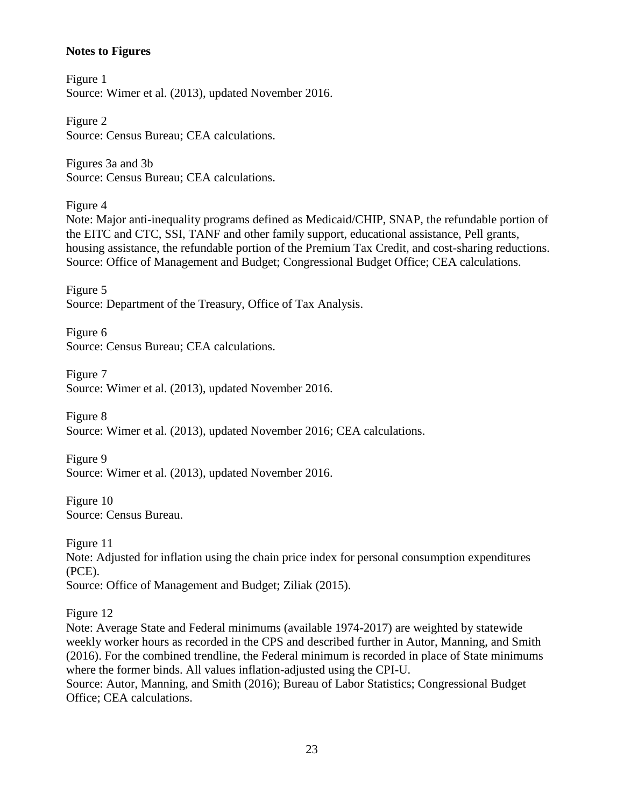# **Notes to Figures**

Figure 1 Source: Wimer et al. (2013), updated November 2016.

Figure 2 Source: Census Bureau; CEA calculations.

Figures 3a and 3b Source: Census Bureau; CEA calculations.

Figure 4

Note: Major anti-inequality programs defined as Medicaid/CHIP, SNAP, the refundable portion of the EITC and CTC, SSI, TANF and other family support, educational assistance, Pell grants, housing assistance, the refundable portion of the Premium Tax Credit, and cost-sharing reductions. Source: Office of Management and Budget; Congressional Budget Office; CEA calculations.

Figure 5 Source: Department of the Treasury, Office of Tax Analysis.

Figure 6 Source: Census Bureau; CEA calculations.

Figure 7 Source: Wimer et al. (2013), updated November 2016.

Figure 8 Source: Wimer et al. (2013), updated November 2016; CEA calculations.

Figure 9 Source: Wimer et al. (2013), updated November 2016.

Figure 10 Source: Census Bureau.

Figure 11 Note: Adjusted for inflation using the chain price index for personal consumption expenditures (PCE). Source: Office of Management and Budget; Ziliak (2015).

Figure 12

Note: Average State and Federal minimums (available 1974-2017) are weighted by statewide weekly worker hours as recorded in the CPS and described further in Autor, Manning, and Smith (2016). For the combined trendline, the Federal minimum is recorded in place of State minimums where the former binds. All values inflation-adjusted using the CPI-U. Source: Autor, Manning, and Smith (2016); Bureau of Labor Statistics; Congressional Budget Office; CEA calculations.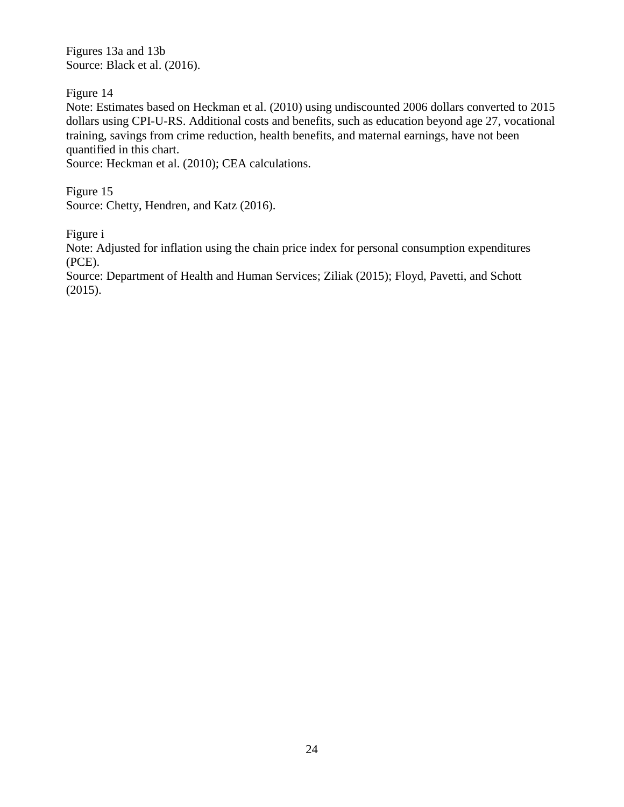Figures 13a and 13b Source: Black et al. (2016).

Figure 14

Note: Estimates based on Heckman et al. (2010) using undiscounted 2006 dollars converted to 2015 dollars using CPI-U-RS. Additional costs and benefits, such as education beyond age 27, vocational training, savings from crime reduction, health benefits, and maternal earnings, have not been quantified in this chart.

Source: Heckman et al. (2010); CEA calculations.

Figure 15 Source: Chetty, Hendren, and Katz (2016).

Figure i

Note: Adjusted for inflation using the chain price index for personal consumption expenditures (PCE).

Source: Department of Health and Human Services; Ziliak (2015); Floyd, Pavetti, and Schott (2015).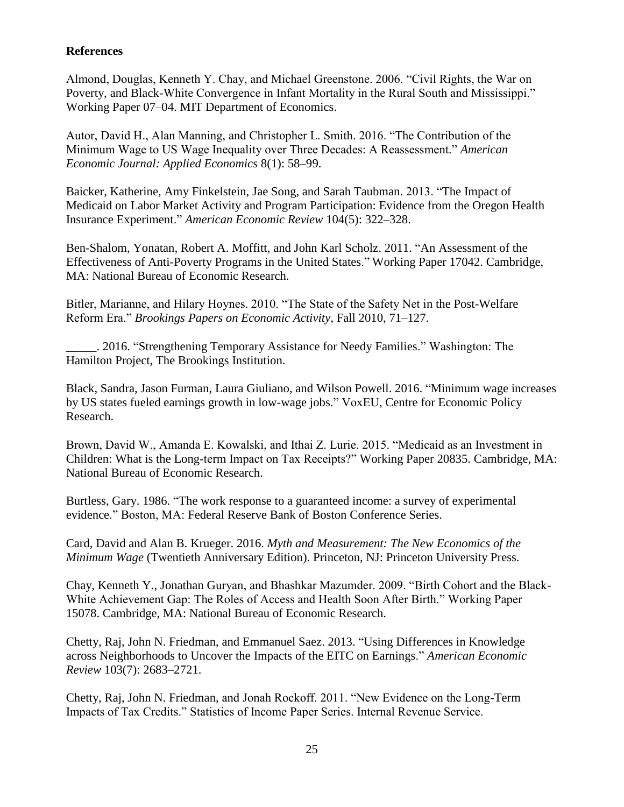# **References**

Almond, Douglas, Kenneth Y. Chay, and Michael Greenstone. 2006. "Civil Rights, the War on Poverty, and Black-White Convergence in Infant Mortality in the Rural South and Mississippi." Working Paper 07–04. MIT Department of Economics.

Autor, David H., Alan Manning, and Christopher L. Smith. 2016. "The Contribution of the Minimum Wage to US Wage Inequality over Three Decades: A Reassessment." *American Economic Journal: Applied Economics* 8(1): 58–99.

Baicker, Katherine, Amy Finkelstein, Jae Song, and Sarah Taubman. 2013. "The Impact of Medicaid on Labor Market Activity and Program Participation: Evidence from the Oregon Health Insurance Experiment." *American Economic Review* 104(5): 322–328.

Ben-Shalom, Yonatan, Robert A. Moffitt, and John Karl Scholz. 2011. "An Assessment of the Effectiveness of Anti-Poverty Programs in the United States." Working Paper 17042. Cambridge, MA: National Bureau of Economic Research.

Bitler, Marianne, and Hilary Hoynes. 2010. "The State of the Safety Net in the Post-Welfare Reform Era." *Brookings Papers on Economic Activity*, Fall 2010, 71–127.

\_\_\_\_\_. 2016. "Strengthening Temporary Assistance for Needy Families." Washington: The Hamilton Project, The Brookings Institution.

Black, Sandra, Jason Furman, Laura Giuliano, and Wilson Powell. 2016. "Minimum wage increases by US states fueled earnings growth in low-wage jobs." VoxEU, Centre for Economic Policy Research.

Brown, David W., Amanda E. Kowalski, and Ithai Z. Lurie. 2015. "Medicaid as an Investment in Children: What is the Long-term Impact on Tax Receipts?" Working Paper 20835. Cambridge, MA: National Bureau of Economic Research.

Burtless, Gary. 1986. "The work response to a guaranteed income: a survey of experimental evidence." Boston, MA: Federal Reserve Bank of Boston Conference Series.

Card, David and Alan B. Krueger. 2016. *Myth and Measurement: The New Economics of the Minimum Wage* (Twentieth Anniversary Edition). Princeton, NJ: Princeton University Press.

Chay, Kenneth Y., Jonathan Guryan, and Bhashkar Mazumder. 2009. "Birth Cohort and the Black-White Achievement Gap: The Roles of Access and Health Soon After Birth." Working Paper 15078. Cambridge, MA: National Bureau of Economic Research.

Chetty, Raj, John N. Friedman, and Emmanuel Saez. 2013. "Using Differences in Knowledge across Neighborhoods to Uncover the Impacts of the EITC on Earnings." *American Economic Review* 103(7): 2683–2721.

Chetty, Raj, John N. Friedman, and Jonah Rockoff. 2011. "New Evidence on the Long-Term Impacts of Tax Credits." Statistics of Income Paper Series. Internal Revenue Service.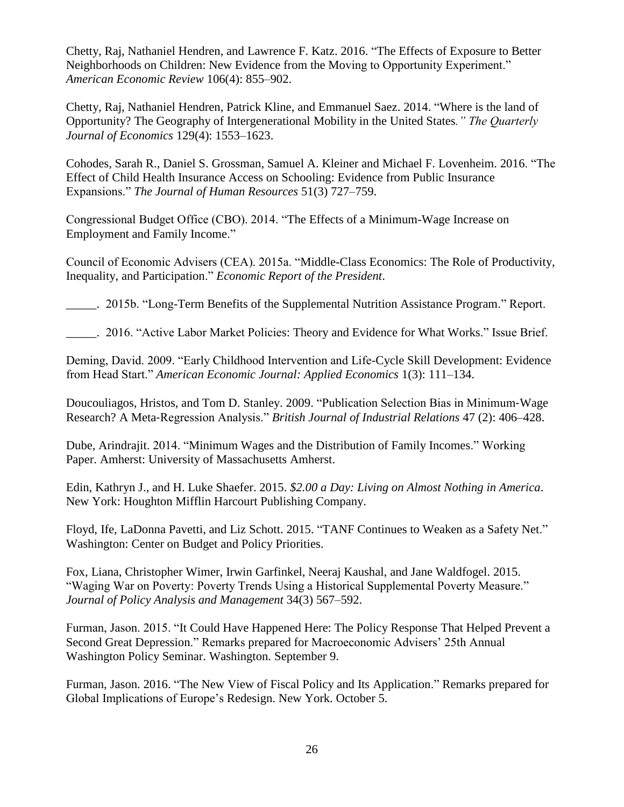Chetty, Raj, Nathaniel Hendren, and Lawrence F. Katz. 2016. "The Effects of Exposure to Better Neighborhoods on Children: New Evidence from the Moving to Opportunity Experiment." *American Economic Review* 106(4): 855–902.

Chetty, Raj, Nathaniel Hendren, Patrick Kline, and Emmanuel Saez. 2014. "Where is the land of Opportunity? The Geography of Intergenerational Mobility in the United States*." The Quarterly Journal of Economics* 129(4): 1553–1623.

Cohodes, Sarah R., Daniel S. Grossman, Samuel A. Kleiner and Michael F. Lovenheim. 2016. "The Effect of Child Health Insurance Access on Schooling: Evidence from Public Insurance Expansions." *The Journal of Human Resources* 51(3) 727–759.

Congressional Budget Office (CBO). 2014. "The Effects of a Minimum-Wage Increase on Employment and Family Income."

Council of Economic Advisers (CEA). 2015a. "Middle-Class Economics: The Role of Productivity, Inequality, and Participation." *Economic Report of the President*.

\_\_\_\_\_. 2015b. "Long-Term Benefits of the Supplemental Nutrition Assistance Program." Report.

\_\_\_\_\_. 2016. "Active Labor Market Policies: Theory and Evidence for What Works." Issue Brief.

Deming, David. 2009. "Early Childhood Intervention and Life-Cycle Skill Development: Evidence from Head Start." *American Economic Journal: Applied Economics* 1(3): 111–134.

Doucouliagos, Hristos, and Tom D. Stanley. 2009. "Publication Selection Bias in Minimum‐Wage Research? A Meta‐Regression Analysis." *British Journal of Industrial Relations* 47 (2): 406–428.

Dube, Arindrajit. 2014. "Minimum Wages and the Distribution of Family Incomes." Working Paper. Amherst: University of Massachusetts Amherst.

Edin, Kathryn J., and H. Luke Shaefer. 2015. *\$2.00 a Day: Living on Almost Nothing in America*. New York: Houghton Mifflin Harcourt Publishing Company.

Floyd, Ife, LaDonna Pavetti, and Liz Schott. 2015. "TANF Continues to Weaken as a Safety Net." Washington: Center on Budget and Policy Priorities.

Fox, Liana, Christopher Wimer, Irwin Garfinkel, Neeraj Kaushal, and Jane Waldfogel. 2015. "Waging War on Poverty: Poverty Trends Using a Historical Supplemental Poverty Measure." *Journal of Policy Analysis and Management* 34(3) 567–592.

Furman, Jason. 2015. "It Could Have Happened Here: The Policy Response That Helped Prevent a Second Great Depression." Remarks prepared for Macroeconomic Advisers' 25th Annual Washington Policy Seminar. Washington. September 9.

Furman, Jason. 2016. "The New View of Fiscal Policy and Its Application." Remarks prepared for Global Implications of Europe's Redesign. New York. October 5.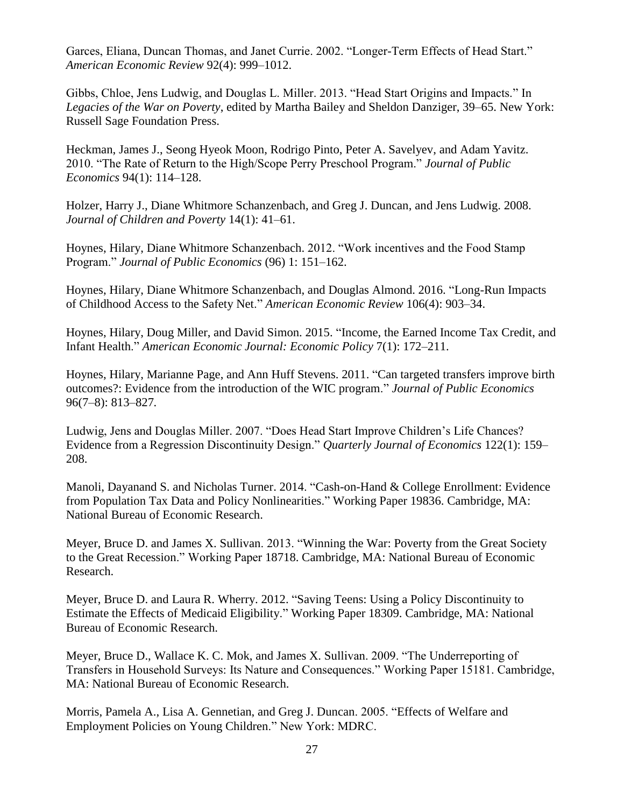Garces, Eliana, Duncan Thomas, and Janet Currie. 2002. "Longer-Term Effects of Head Start." *American Economic Review* 92(4): 999–1012.

Gibbs, Chloe, Jens Ludwig, and Douglas L. Miller. 2013. "Head Start Origins and Impacts." In *Legacies of the War on Poverty*, edited by Martha Bailey and Sheldon Danziger, 39–65. New York: Russell Sage Foundation Press.

Heckman, James J., Seong Hyeok Moon, Rodrigo Pinto, Peter A. Savelyev, and Adam Yavitz. 2010. "The Rate of Return to the High/Scope Perry Preschool Program." *Journal of Public Economics* 94(1): 114–128.

Holzer, Harry J., Diane Whitmore Schanzenbach, and Greg J. Duncan, and Jens Ludwig. 2008. *Journal of Children and Poverty* 14(1): 41–61.

Hoynes, Hilary, Diane Whitmore Schanzenbach. 2012. "Work incentives and the Food Stamp Program." *Journal of Public Economics* (96) 1: 151–162.

Hoynes, Hilary, Diane Whitmore Schanzenbach, and Douglas Almond. 2016. "Long-Run Impacts of Childhood Access to the Safety Net." *American Economic Review* 106(4): 903–34.

Hoynes, Hilary, Doug Miller, and David Simon. 2015. "Income, the Earned Income Tax Credit, and Infant Health." *American Economic Journal: Economic Policy* 7(1): 172–211.

Hoynes, Hilary, Marianne Page, and Ann Huff Stevens. 2011. "Can targeted transfers improve birth outcomes?: Evidence from the introduction of the WIC program." *Journal of Public Economics* 96(7–8): 813–827*.*

Ludwig, Jens and Douglas Miller. 2007. "Does Head Start Improve Children's Life Chances? Evidence from a Regression Discontinuity Design." *Quarterly Journal of Economics* 122(1): 159– 208.

Manoli, Dayanand S. and Nicholas Turner. 2014. "Cash-on-Hand & College Enrollment: Evidence from Population Tax Data and Policy Nonlinearities." Working Paper 19836. Cambridge, MA: National Bureau of Economic Research.

Meyer, Bruce D. and James X. Sullivan. 2013. "Winning the War: Poverty from the Great Society to the Great Recession." Working Paper 18718. Cambridge, MA: National Bureau of Economic Research.

Meyer, Bruce D. and Laura R. Wherry. 2012. "Saving Teens: Using a Policy Discontinuity to Estimate the Effects of Medicaid Eligibility." Working Paper 18309. Cambridge, MA: National Bureau of Economic Research.

Meyer, Bruce D., Wallace K. C. Mok, and James X. Sullivan. 2009. "The Underreporting of Transfers in Household Surveys: Its Nature and Consequences." Working Paper 15181. Cambridge, MA: National Bureau of Economic Research.

Morris, Pamela A., Lisa A. Gennetian, and Greg J. Duncan. 2005. "Effects of Welfare and Employment Policies on Young Children." New York: MDRC.